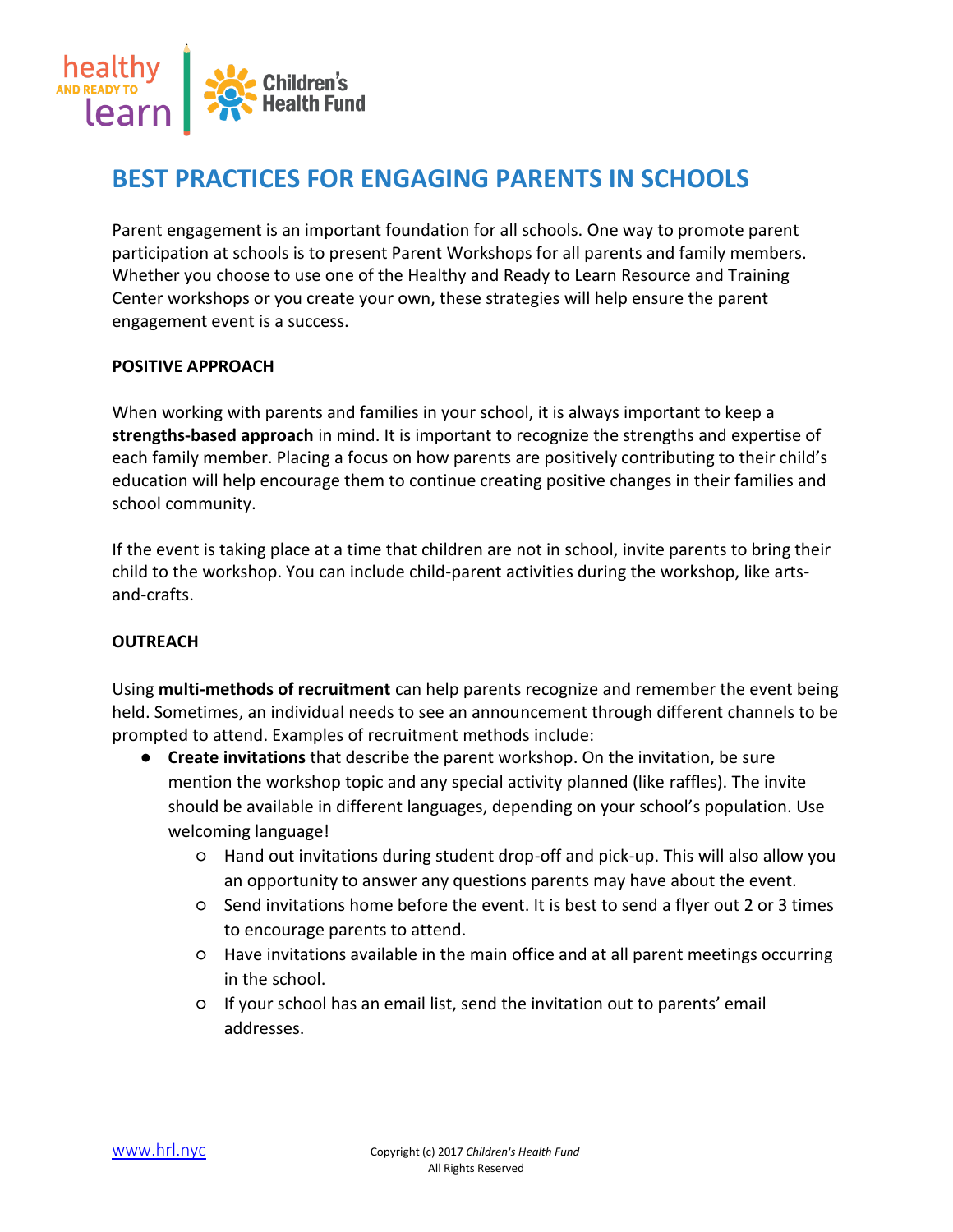

# **BEST PRACTICES FOR ENGAGING PARENTS IN SCHOOLS**

Parent engagement is an important foundation for all schools. One way to promote parent participation at schools is to present Parent Workshops for all parents and family members. Whether you choose to use one of the Healthy and Ready to Learn Resource and Training Center workshops or you create your own, these strategies will help ensure the parent engagement event is a success.

## **POSITIVE APPROACH**

When working with parents and families in your school, it is always important to keep a **strengths-based approach** in mind. It is important to recognize the strengths and expertise of each family member. Placing a focus on how parents are positively contributing to their child's education will help encourage them to continue creating positive changes in their families and school community.

If the event is taking place at a time that children are not in school, invite parents to bring their child to the workshop. You can include child-parent activities during the workshop, like artsand-crafts.

### **OUTREACH**

Using **multi-methods of recruitment** can help parents recognize and remember the event being held. Sometimes, an individual needs to see an announcement through different channels to be prompted to attend. Examples of recruitment methods include:

- **Create invitations** that describe the parent workshop. On the invitation, be sure mention the workshop topic and any special activity planned (like raffles). The invite should be available in different languages, depending on your school's population. Use welcoming language!
	- Hand out invitations during student drop-off and pick-up. This will also allow you an opportunity to answer any questions parents may have about the event.
	- Send invitations home before the event. It is best to send a flyer out 2 or 3 times to encourage parents to attend.
	- Have invitations available in the main office and at all parent meetings occurring in the school.
	- If your school has an email list, send the invitation out to parents' email addresses.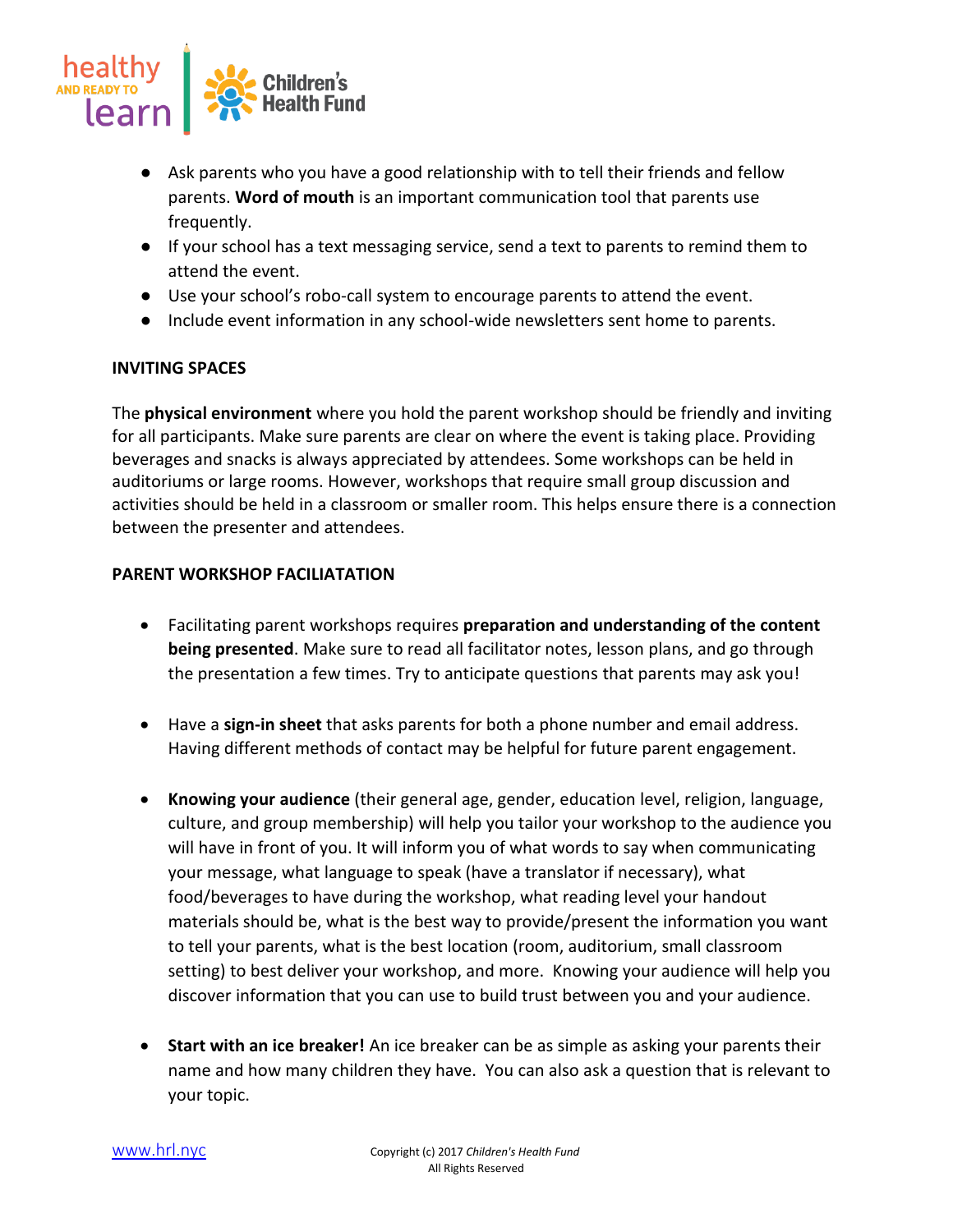

- Ask parents who you have a good relationship with to tell their friends and fellow parents. **Word of mouth** is an important communication tool that parents use frequently.
- If your school has a text messaging service, send a text to parents to remind them to attend the event.
- Use your school's robo-call system to encourage parents to attend the event.
- Include event information in any school-wide newsletters sent home to parents.

### **INVITING SPACES**

The **physical environment** where you hold the parent workshop should be friendly and inviting for all participants. Make sure parents are clear on where the event is taking place. Providing beverages and snacks is always appreciated by attendees. Some workshops can be held in auditoriums or large rooms. However, workshops that require small group discussion and activities should be held in a classroom or smaller room. This helps ensure there is a connection between the presenter and attendees.

#### **PARENT WORKSHOP FACILIATATION**

- Facilitating parent workshops requires **preparation and understanding of the content being presented**. Make sure to read all facilitator notes, lesson plans, and go through the presentation a few times. Try to anticipate questions that parents may ask you!
- Have a **sign-in sheet** that asks parents for both a phone number and email address. Having different methods of contact may be helpful for future parent engagement.
- **Knowing your audience** (their general age, gender, education level, religion, language, culture, and group membership) will help you tailor your workshop to the audience you will have in front of you. It will inform you of what words to say when communicating your message, what language to speak (have a translator if necessary), what food/beverages to have during the workshop, what reading level your handout materials should be, what is the best way to provide/present the information you want to tell your parents, what is the best location (room, auditorium, small classroom setting) to best deliver your workshop, and more. Knowing your audience will help you discover information that you can use to build trust between you and your audience.
- **Start with an ice breaker!** An ice breaker can be as simple as asking your parents their name and how many children they have. You can also ask a question that is relevant to your topic.